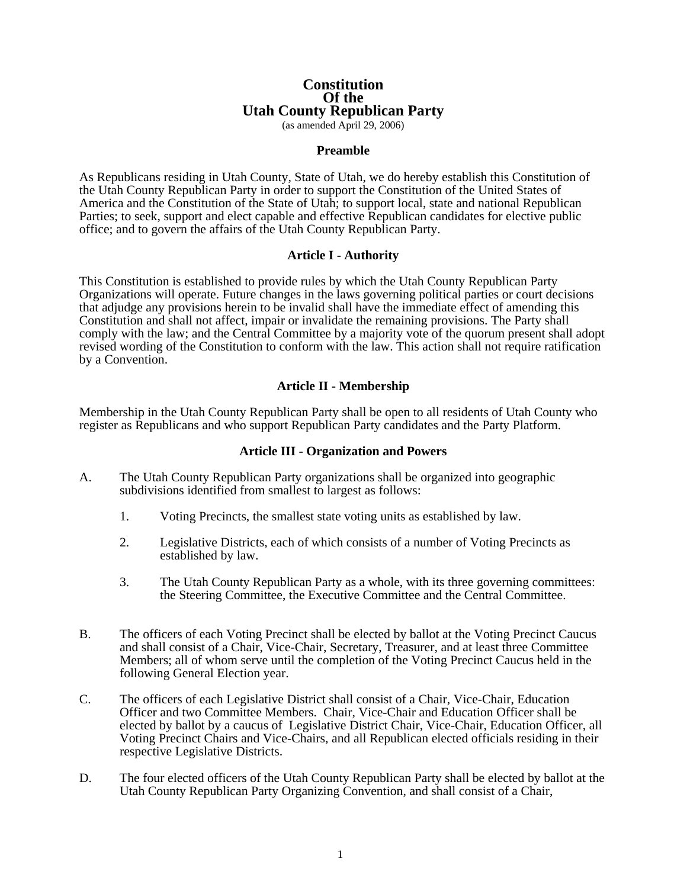# **Constitution Of the Utah County Republican Party**

(as amended April 29, 2006)

## **Preamble**

As Republicans residing in Utah County, State of Utah, we do hereby establish this Constitution of the Utah County Republican Party in order to support the Constitution of the United States of America and the Constitution of the State of Utah; to support local, state and national Republican Parties; to seek, support and elect capable and effective Republican candidates for elective public office; and to govern the affairs of the Utah County Republican Party.

#### **Article I - Authority**

This Constitution is established to provide rules by which the Utah County Republican Party Organizations will operate. Future changes in the laws governing political parties or court decisions that adjudge any provisions herein to be invalid shall have the immediate effect of amending this Constitution and shall not affect, impair or invalidate the remaining provisions. The Party shall comply with the law; and the Central Committee by a majority vote of the quorum present shall adopt revised wording of the Constitution to conform with the law. This action shall not require ratification by a Convention.

## **Article II - Membership**

Membership in the Utah County Republican Party shall be open to all residents of Utah County who register as Republicans and who support Republican Party candidates and the Party Platform.

## **Article III - Organization and Powers**

- A. The Utah County Republican Party organizations shall be organized into geographic subdivisions identified from smallest to largest as follows:
	- 1. Voting Precincts, the smallest state voting units as established by law.
	- 2. Legislative Districts, each of which consists of a number of Voting Precincts as established by law.
	- 3. The Utah County Republican Party as a whole, with its three governing committees: the Steering Committee, the Executive Committee and the Central Committee.
- B. The officers of each Voting Precinct shall be elected by ballot at the Voting Precinct Caucus and shall consist of a Chair, Vice-Chair, Secretary, Treasurer, and at least three Committee Members; all of whom serve until the completion of the Voting Precinct Caucus held in the following General Election year.
- C. The officers of each Legislative District shall consist of a Chair, Vice-Chair, Education Officer and two Committee Members. Chair, Vice-Chair and Education Officer shall be elected by ballot by a caucus of Legislative District Chair, Vice-Chair, Education Officer, all Voting Precinct Chairs and Vice-Chairs, and all Republican elected officials residing in their respective Legislative Districts.
- D. The four elected officers of the Utah County Republican Party shall be elected by ballot at the Utah County Republican Party Organizing Convention, and shall consist of a Chair,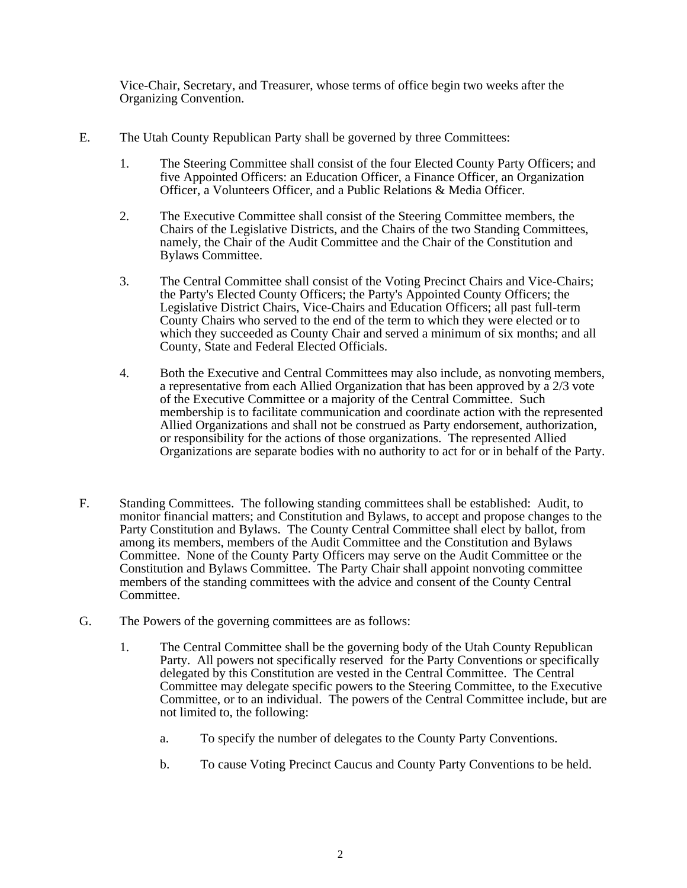Vice-Chair, Secretary, and Treasurer, whose terms of office begin two weeks after the Organizing Convention.

- E. The Utah County Republican Party shall be governed by three Committees:
	- 1. The Steering Committee shall consist of the four Elected County Party Officers; and five Appointed Officers: an Education Officer, a Finance Officer, an Organization Officer, a Volunteers Officer, and a Public Relations & Media Officer.
	- 2. The Executive Committee shall consist of the Steering Committee members, the Chairs of the Legislative Districts, and the Chairs of the two Standing Committees, namely, the Chair of the Audit Committee and the Chair of the Constitution and Bylaws Committee.
	- 3. The Central Committee shall consist of the Voting Precinct Chairs and Vice-Chairs; the Party's Elected County Officers; the Party's Appointed County Officers; the Legislative District Chairs, Vice-Chairs and Education Officers; all past full-term County Chairs who served to the end of the term to which they were elected or to which they succeeded as County Chair and served a minimum of six months; and all County, State and Federal Elected Officials.
	- 4. Both the Executive and Central Committees may also include, as nonvoting members, a representative from each Allied Organization that has been approved by a 2/3 vote of the Executive Committee or a majority of the Central Committee. Such membership is to facilitate communication and coordinate action with the represented Allied Organizations and shall not be construed as Party endorsement, authorization, or responsibility for the actions of those organizations. The represented Allied Organizations are separate bodies with no authority to act for or in behalf of the Party.
- F. Standing Committees. The following standing committees shall be established: Audit, to monitor financial matters; and Constitution and Bylaws, to accept and propose changes to the Party Constitution and Bylaws. The County Central Committee shall elect by ballot, from among its members, members of the Audit Committee and the Constitution and Bylaws Committee. None of the County Party Officers may serve on the Audit Committee or the Constitution and Bylaws Committee. The Party Chair shall appoint nonvoting committee members of the standing committees with the advice and consent of the County Central Committee.
- G. The Powers of the governing committees are as follows:
	- 1. The Central Committee shall be the governing body of the Utah County Republican Party. All powers not specifically reserved for the Party Conventions or specifically delegated by this Constitution are vested in the Central Committee. The Central Committee may delegate specific powers to the Steering Committee, to the Executive Committee, or to an individual. The powers of the Central Committee include, but are not limited to, the following:
		- a. To specify the number of delegates to the County Party Conventions.
		- b. To cause Voting Precinct Caucus and County Party Conventions to be held.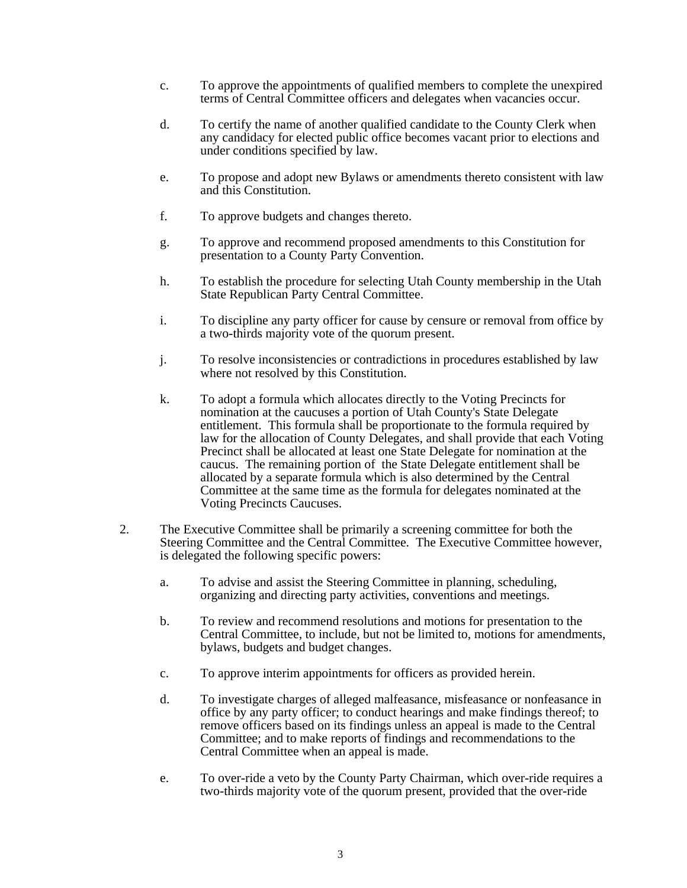- c. To approve the appointments of qualified members to complete the unexpired terms of Central Committee officers and delegates when vacancies occur.
- d. To certify the name of another qualified candidate to the County Clerk when any candidacy for elected public office becomes vacant prior to elections and under conditions specified by law.
- e. To propose and adopt new Bylaws or amendments thereto consistent with law and this Constitution.
- f. To approve budgets and changes thereto.
- g. To approve and recommend proposed amendments to this Constitution for presentation to a County Party Convention.
- h. To establish the procedure for selecting Utah County membership in the Utah State Republican Party Central Committee.
- i. To discipline any party officer for cause by censure or removal from office by a two-thirds majority vote of the quorum present.
- j. To resolve inconsistencies or contradictions in procedures established by law where not resolved by this Constitution.
- k. To adopt a formula which allocates directly to the Voting Precincts for nomination at the caucuses a portion of Utah County's State Delegate entitlement. This formula shall be proportionate to the formula required by law for the allocation of County Delegates, and shall provide that each Voting Precinct shall be allocated at least one State Delegate for nomination at the caucus. The remaining portion of the State Delegate entitlement shall be allocated by a separate formula which is also determined by the Central Committee at the same time as the formula for delegates nominated at the Voting Precincts Caucuses.
- 2. The Executive Committee shall be primarily a screening committee for both the Steering Committee and the Central Committee. The Executive Committee however, is delegated the following specific powers:
	- a. To advise and assist the Steering Committee in planning, scheduling, organizing and directing party activities, conventions and meetings.
	- b. To review and recommend resolutions and motions for presentation to the Central Committee, to include, but not be limited to, motions for amendments, bylaws, budgets and budget changes.
	- c. To approve interim appointments for officers as provided herein.
	- d. To investigate charges of alleged malfeasance, misfeasance or nonfeasance in office by any party officer; to conduct hearings and make findings thereof; to remove officers based on its findings unless an appeal is made to the Central Committee; and to make reports of findings and recommendations to the Central Committee when an appeal is made.
	- e. To over-ride a veto by the County Party Chairman, which over-ride requires a two-thirds majority vote of the quorum present, provided that the over-ride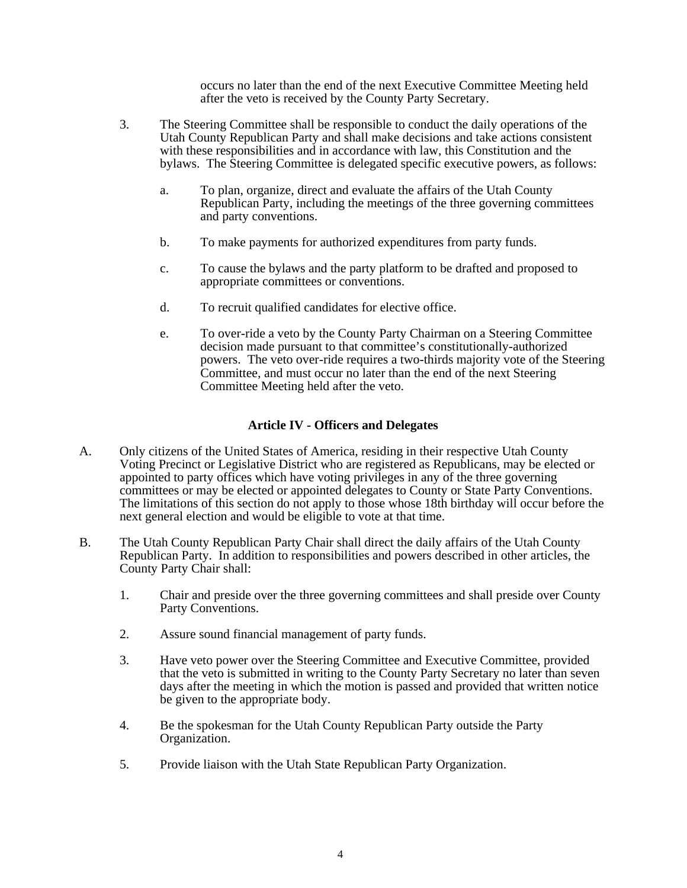occurs no later than the end of the next Executive Committee Meeting held after the veto is received by the County Party Secretary.

- 3. The Steering Committee shall be responsible to conduct the daily operations of the Utah County Republican Party and shall make decisions and take actions consistent with these responsibilities and in accordance with law, this Constitution and the bylaws. The Steering Committee is delegated specific executive powers, as follows:
	- a. To plan, organize, direct and evaluate the affairs of the Utah County Republican Party, including the meetings of the three governing committees and party conventions.
	- b. To make payments for authorized expenditures from party funds.
	- c. To cause the bylaws and the party platform to be drafted and proposed to appropriate committees or conventions.
	- d. To recruit qualified candidates for elective office.
	- e. To over-ride a veto by the County Party Chairman on a Steering Committee decision made pursuant to that committee's constitutionally-authorized powers. The veto over-ride requires a two-thirds majority vote of the Steering Committee, and must occur no later than the end of the next Steering Committee Meeting held after the veto.

## **Article IV - Officers and Delegates**

- A. Only citizens of the United States of America, residing in their respective Utah County Voting Precinct or Legislative District who are registered as Republicans, may be elected or appointed to party offices which have voting privileges in any of the three governing committees or may be elected or appointed delegates to County or State Party Conventions. The limitations of this section do not apply to those whose 18th birthday will occur before the next general election and would be eligible to vote at that time.
- B. The Utah County Republican Party Chair shall direct the daily affairs of the Utah County Republican Party. In addition to responsibilities and powers described in other articles, the County Party Chair shall:
	- 1. Chair and preside over the three governing committees and shall preside over County Party Conventions.
	- 2. Assure sound financial management of party funds.
	- 3. Have veto power over the Steering Committee and Executive Committee, provided that the veto is submitted in writing to the County Party Secretary no later than seven days after the meeting in which the motion is passed and provided that written notice be given to the appropriate body.
	- 4. Be the spokesman for the Utah County Republican Party outside the Party Organization.
	- 5. Provide liaison with the Utah State Republican Party Organization.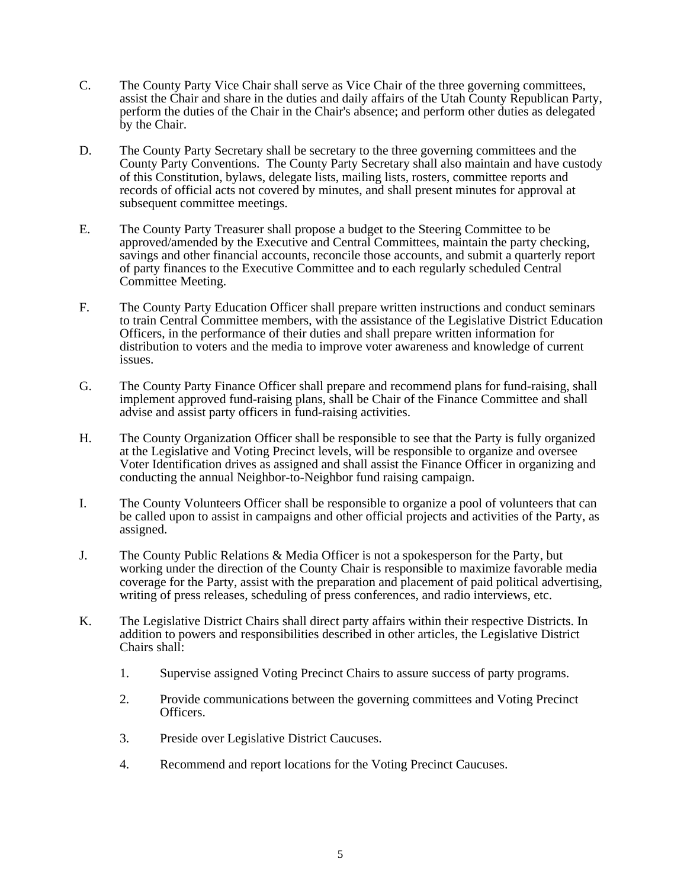- C. The County Party Vice Chair shall serve as Vice Chair of the three governing committees, assist the Chair and share in the duties and daily affairs of the Utah County Republican Party, perform the duties of the Chair in the Chair's absence; and perform other duties as delegated by the Chair.
- D. The County Party Secretary shall be secretary to the three governing committees and the County Party Conventions. The County Party Secretary shall also maintain and have custody of this Constitution, bylaws, delegate lists, mailing lists, rosters, committee reports and records of official acts not covered by minutes, and shall present minutes for approval at subsequent committee meetings.
- E. The County Party Treasurer shall propose a budget to the Steering Committee to be approved/amended by the Executive and Central Committees, maintain the party checking, savings and other financial accounts, reconcile those accounts, and submit a quarterly report of party finances to the Executive Committee and to each regularly scheduled Central Committee Meeting.
- F. The County Party Education Officer shall prepare written instructions and conduct seminars to train Central Committee members, with the assistance of the Legislative District Education Officers, in the performance of their duties and shall prepare written information for distribution to voters and the media to improve voter awareness and knowledge of current issues.
- G. The County Party Finance Officer shall prepare and recommend plans for fund-raising, shall implement approved fund-raising plans, shall be Chair of the Finance Committee and shall advise and assist party officers in fund-raising activities.
- H. The County Organization Officer shall be responsible to see that the Party is fully organized at the Legislative and Voting Precinct levels, will be responsible to organize and oversee Voter Identification drives as assigned and shall assist the Finance Officer in organizing and conducting the annual Neighbor-to-Neighbor fund raising campaign.
- I. The County Volunteers Officer shall be responsible to organize a pool of volunteers that can be called upon to assist in campaigns and other official projects and activities of the Party, as assigned.
- J. The County Public Relations & Media Officer is not a spokesperson for the Party, but working under the direction of the County Chair is responsible to maximize favorable media coverage for the Party, assist with the preparation and placement of paid political advertising, writing of press releases, scheduling of press conferences, and radio interviews, etc.
- K. The Legislative District Chairs shall direct party affairs within their respective Districts. In addition to powers and responsibilities described in other articles, the Legislative District Chairs shall:
	- 1. Supervise assigned Voting Precinct Chairs to assure success of party programs.
	- 2. Provide communications between the governing committees and Voting Precinct Officers.
	- 3. Preside over Legislative District Caucuses.
	- 4. Recommend and report locations for the Voting Precinct Caucuses.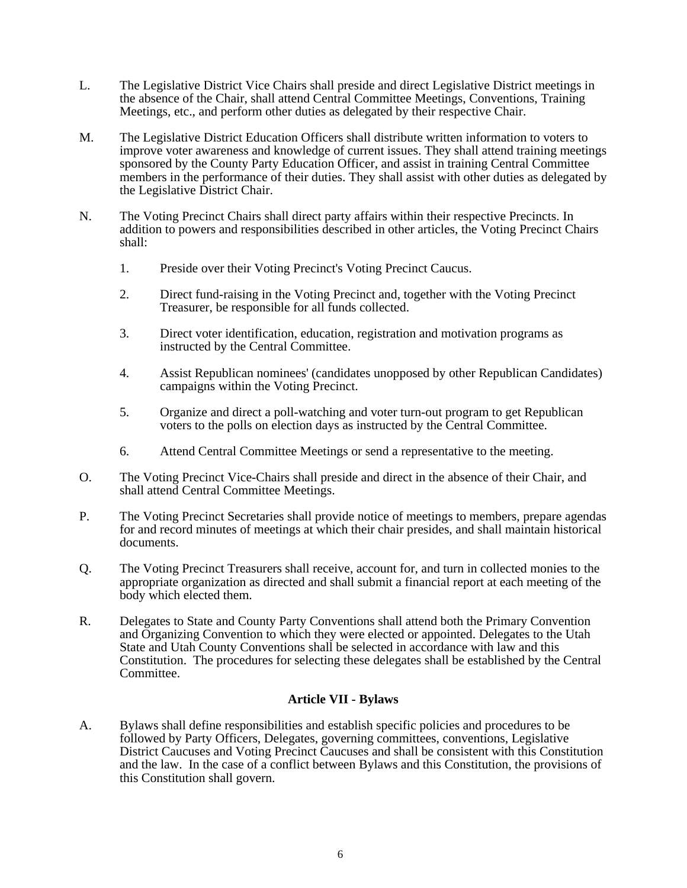- L. The Legislative District Vice Chairs shall preside and direct Legislative District meetings in the absence of the Chair, shall attend Central Committee Meetings, Conventions, Training Meetings, etc., and perform other duties as delegated by their respective Chair.
- M. The Legislative District Education Officers shall distribute written information to voters to improve voter awareness and knowledge of current issues. They shall attend training meetings sponsored by the County Party Education Officer, and assist in training Central Committee members in the performance of their duties. They shall assist with other duties as delegated by the Legislative District Chair.
- N. The Voting Precinct Chairs shall direct party affairs within their respective Precincts. In addition to powers and responsibilities described in other articles, the Voting Precinct Chairs shall:
	- 1. Preside over their Voting Precinct's Voting Precinct Caucus.
	- 2. Direct fund-raising in the Voting Precinct and, together with the Voting Precinct Treasurer, be responsible for all funds collected.
	- 3. Direct voter identification, education, registration and motivation programs as instructed by the Central Committee.
	- 4. Assist Republican nominees' (candidates unopposed by other Republican Candidates) campaigns within the Voting Precinct.
	- 5. Organize and direct a poll-watching and voter turn-out program to get Republican voters to the polls on election days as instructed by the Central Committee.
	- 6. Attend Central Committee Meetings or send a representative to the meeting.
- O. The Voting Precinct Vice-Chairs shall preside and direct in the absence of their Chair, and shall attend Central Committee Meetings.
- P. The Voting Precinct Secretaries shall provide notice of meetings to members, prepare agendas for and record minutes of meetings at which their chair presides, and shall maintain historical documents.
- Q. The Voting Precinct Treasurers shall receive, account for, and turn in collected monies to the appropriate organization as directed and shall submit a financial report at each meeting of the body which elected them.
- R. Delegates to State and County Party Conventions shall attend both the Primary Convention and Organizing Convention to which they were elected or appointed. Delegates to the Utah State and Utah County Conventions shall be selected in accordance with law and this Constitution. The procedures for selecting these delegates shall be established by the Central Committee.

## **Article VII - Bylaws**

A. Bylaws shall define responsibilities and establish specific policies and procedures to be followed by Party Officers, Delegates, governing committees, conventions, Legislative District Caucuses and Voting Precinct Caucuses and shall be consistent with this Constitution and the law. In the case of a conflict between Bylaws and this Constitution, the provisions of this Constitution shall govern.